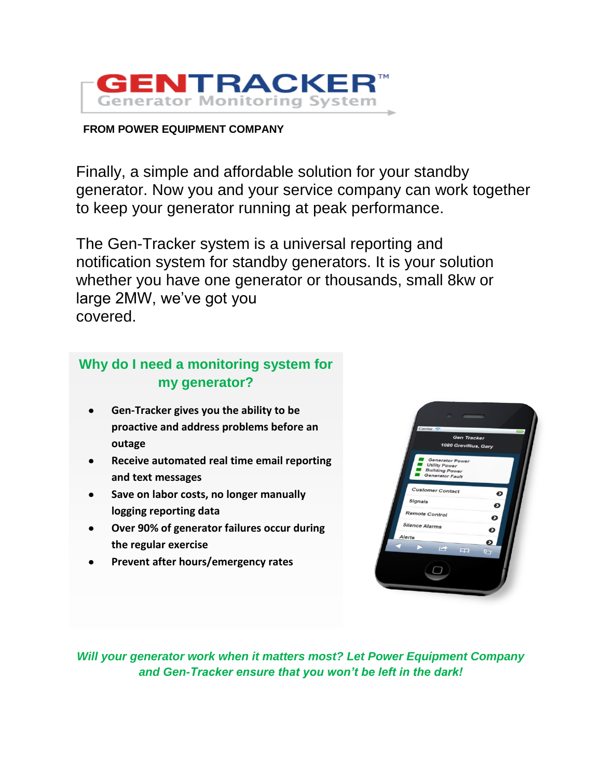

#### **FROM POWER EQUIPMENT COMPANY**

Finally, a simple and affordable solution for your standby generator. Now you and your service company can work together to keep your generator running at peak performance.

The Gen-Tracker system is a universal reporting and notification system for standby generators. It is your solution whether you have one generator or thousands, small 8kw or large 2MW, we've got you covered.

#### **Why do I need a monitoring system for my generator?**

- **Gen-Tracker gives you the ability to be proactive and address problems before an outage**
- **Receive automated real time email reporting**  $\bullet$ **and text messages**
- **Save on labor costs, no longer manually**   $\bullet$ **logging reporting data**
- **Over 90% of generator failures occur during**   $\bullet$ **the regular exercise**
- **Prevent after hours/emergency rates** $\bullet$



*Will your generator work when it matters most? Let Power Equipment Company and Gen-Tracker ensure that you won't be left in the dark!*